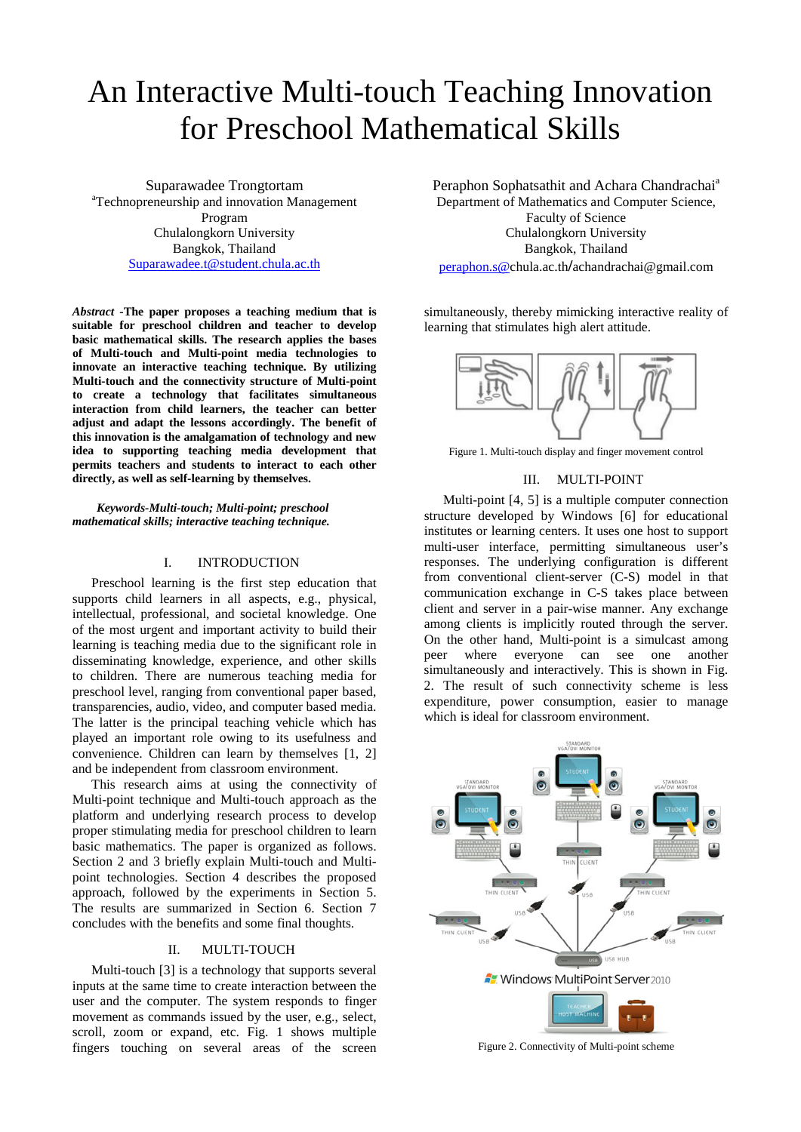# An Interactive Multi-touch Teaching Innovation for Preschool Mathematical Skills

Suparawadee Trongtortam <sup>a</sup> Technopreneurship and innovation Management Program Chulalongkorn University Bangkok, Thailand [Suparawadee.t@student.chula.ac.th](mailto:Suparawadee.t@student.chula.ac.th)

*Abstract* **-The paper proposes a teaching medium that is suitable for preschool children and teacher to develop basic mathematical skills. The research applies the bases of Multi-touch and Multi-point media technologies to innovate an interactive teaching technique. By utilizing Multi-touch and the connectivity structure of Multi-point to create a technology that facilitates simultaneous interaction from child learners, the teacher can better adjust and adapt the lessons accordingly. The benefit of this innovation is the amalgamation of technology and new idea to supporting teaching media development that permits teachers and students to interact to each other directly, as well as self-learning by themselves.**

*Keywords-Multi-touch; Multi-point; preschool mathematical skills; interactive teaching technique.*

#### I. INTRODUCTION

Preschool learning is the first step education that supports child learners in all aspects, e.g., physical, intellectual, professional, and societal knowledge. One of the most urgent and important activity to build their learning is teaching media due to the significant role in disseminating knowledge, experience, and other skills to children. There are numerous teaching media for preschool level, ranging from conventional paper based, transparencies, audio, video, and computer based media. The latter is the principal teaching vehicle which has played an important role owing to its usefulness and convenience. Children can learn by themselves [1, 2] and be independent from classroom environment.

This research aims at using the connectivity of Multi-point technique and Multi-touch approach as the platform and underlying research process to develop proper stimulating media for preschool children to learn basic mathematics. The paper is organized as follows. Section 2 and 3 briefly explain Multi-touch and Multipoint technologies. Section 4 describes the proposed approach, followed by the experiments in Section 5. The results are summarized in Section 6. Section 7 concludes with the benefits and some final thoughts.

## II. MULTI-TOUCH

Multi-touch [3] is a technology that supports several inputs at the same time to create interaction between the user and the computer. The system responds to finger movement as commands issued by the user, e.g., select, scroll, zoom or expand, etc. Fig. 1 shows multiple fingers touching on several areas of the screen Peraphon Sophatsathit and Achara Chandrachai<sup>a</sup> Department of Mathematics and Computer Science, Faculty of Science Chulalongkorn University Bangkok, Thailand [peraphon.s@c](mailto:peraphon.s@)hula.ac.th**/**achandrachai@gmail.com

simultaneously, thereby mimicking interactive reality of learning that stimulates high alert attitude.



Figure 1. Multi-touch display and finger movement control

## III. MULTI-POINT

Multi-point [4, 5] is a multiple computer connection structure developed by Windows [6] for educational institutes or learning centers. It uses one host to support multi-user interface, permitting simultaneous user's responses. The underlying configuration is different from conventional client-server (C-S) model in that communication exchange in C-S takes place between client and server in a pair-wise manner. Any exchange among clients is implicitly routed through the server. On the other hand, Multi-point is a simulcast among peer where everyone can see one another simultaneously and interactively. This is shown in Fig. 2. The result of such connectivity scheme is less expenditure, power consumption, easier to manage which is ideal for classroom environment.



Figure 2. Connectivity of Multi-point scheme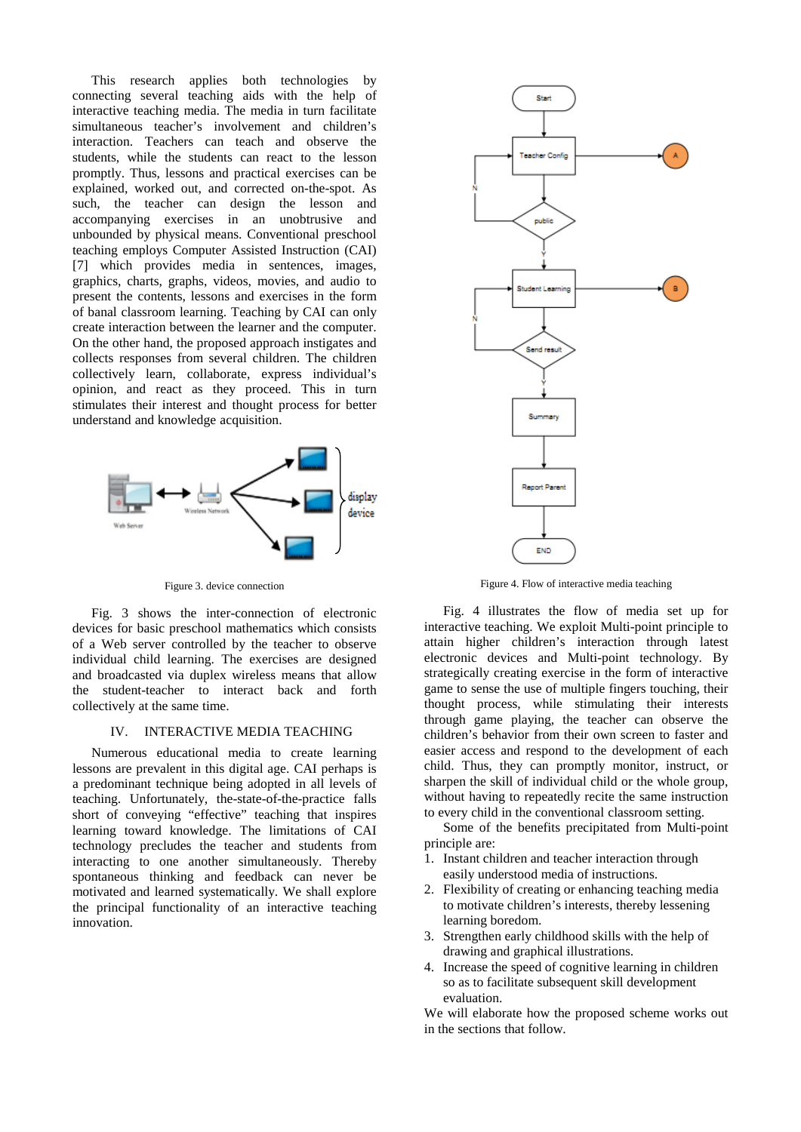This research applies both technologies by connecting several teaching aids with the help of interactive teaching media. The media in turn facilitate simultaneous teacher's involvement and children's interaction. Teachers can teach and observe the students, while the students can react to the lesson promptly. Thus, lessons and practical exercises can be explained, worked out, and corrected on-the-spot. As such, the teacher can design the lesson and accompanying exercises in an unobtrusive and unbounded by physical means. Conventional preschool teaching employs Computer Assisted Instruction (CAI) [7] which provides media in sentences, images, graphics, charts, graphs, videos, movies, and audio to present the contents, lessons and exercises in the form of banal classroom learning. Teaching by CAI can only create interaction between the learner and the computer. On the other hand, the proposed approach instigates and collects responses from several children. The children collectively learn, collaborate, express individual's opinion, and react as they proceed. This in turn stimulates their interest and thought process for better understand and knowledge acquisition.



Figure 3. device connection

Fig. 3 shows the inter-connection of electronic devices for basic preschool mathematics which consists of a Web server controlled by the teacher to observe individual child learning. The exercises are designed and broadcasted via duplex wireless means that allow the student-teacher to interact back and forth collectively at the same time.

## IV. INTERACTIVE MEDIA TEACHING

Numerous educational media to create learning lessons are prevalent in this digital age. CAI perhaps is a predominant technique being adopted in all levels of teaching. Unfortunately, the-state-of-the-practice falls short of conveying "effective" teaching that inspires learning toward knowledge. The limitations of CAI technology precludes the teacher and students from interacting to one another simultaneously. Thereby spontaneous thinking and feedback can never be motivated and learned systematically. We shall explore the principal functionality of an interactive teaching innovation.



Figure 4. Flow of interactive media teaching

Fig. 4 illustrates the flow of media set up for interactive teaching. We exploit Multi-point principle to attain higher children's interaction through latest electronic devices and Multi-point technology. By strategically creating exercise in the form of interactive game to sense the use of multiple fingers touching, their thought process, while stimulating their interests through game playing, the teacher can observe the children's behavior from their own screen to faster and easier access and respond to the development of each child. Thus, they can promptly monitor, instruct, or sharpen the skill of individual child or the whole group, without having to repeatedly recite the same instruction to every child in the conventional classroom setting.

Some of the benefits precipitated from Multi-point principle are:

- 1. Instant children and teacher interaction through easily understood media of instructions.
- 2. Flexibility of creating or enhancing teaching media to motivate children's interests, thereby lessening learning boredom.
- 3. Strengthen early childhood skills with the help of drawing and graphical illustrations.
- 4. Increase the speed of cognitive learning in children so as to facilitate subsequent skill development evaluation.

We will elaborate how the proposed scheme works out in the sections that follow.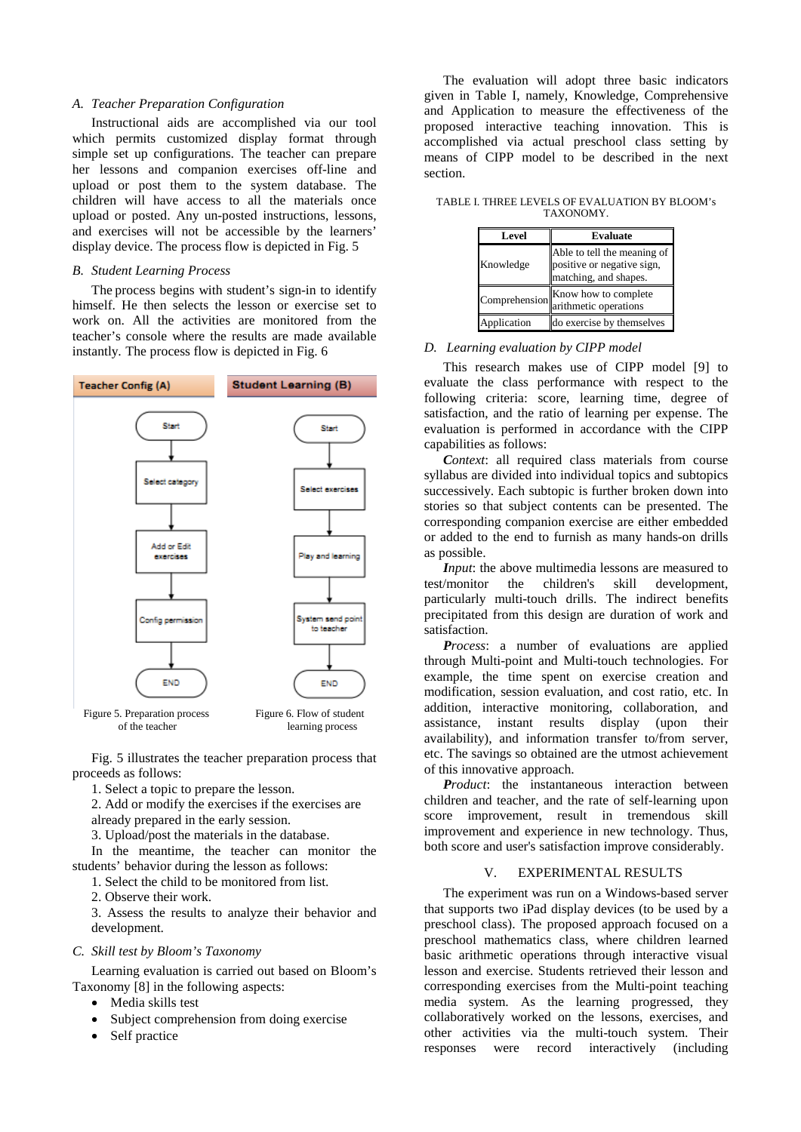#### *A. Teacher Preparation Configuration*

Instructional aids are accomplished via our tool which permits customized display format through simple set up configurations. The teacher can prepare her lessons and companion exercises off-line and upload or post them to the system database. The children will have access to all the materials once upload or posted. Any un-posted instructions, lessons, and exercises will not be accessible by the learners' display device. The process flow is depicted in Fig. 5

## *B. Student Learning Process*

The process begins with student's sign-in to identify himself. He then selects the lesson or exercise set to work on. All the activities are monitored from the teacher's console where the results are made available instantly. The process flow is depicted in Fig. 6



Fig. 5 illustrates the teacher preparation process that

proceeds as follows:

1. Select a topic to prepare the lesson.

2. Add or modify the exercises if the exercises are

already prepared in the early session.

3. Upload/post the materials in the database.

In the meantime, the teacher can monitor the students' behavior during the lesson as follows:

1. Select the child to be monitored from list.

2. Observe their work.

3. Assess the results to analyze their behavior and development.

# *C. Skill test by Bloom's Taxonomy*

Learning evaluation is carried out based on Bloom's Taxonomy [8] in the following aspects:

- Media skills test
- Subject comprehension from doing exercise
- Self practice

The evaluation will adopt three basic indicators given in Table I, namely, Knowledge, Comprehensive and Application to measure the effectiveness of the proposed interactive teaching innovation. This is accomplished via actual preschool class setting by means of CIPP model to be described in the next section.

TABLE I. THREE LEVELS OF EVALUATION BY BLOOM's TAXONOMY.

| Level         | <b>Evaluate</b>                                                                    |  |  |
|---------------|------------------------------------------------------------------------------------|--|--|
| Knowledge     | Able to tell the meaning of<br>positive or negative sign,<br>matching, and shapes. |  |  |
| Comprehension | Know how to complete<br>arithmetic operations                                      |  |  |
| pplication    | do exercise by themselves                                                          |  |  |

# *D. Learning evaluation by CIPP model*

This research makes use of CIPP model [9] to evaluate the class performance with respect to the following criteria: score, learning time, degree of satisfaction, and the ratio of learning per expense. The evaluation is performed in accordance with the CIPP capabilities as follows:

*Context*: all required class materials from course syllabus are divided into individual topics and subtopics successively. Each subtopic is further broken down into stories so that subject contents can be presented. The corresponding companion exercise are either embedded or added to the end to furnish as many hands-on drills as possible.

*Input*: the above multimedia lessons are measured to test/monitor the children's skill development, particularly multi-touch drills. The indirect benefits precipitated from this design are duration of work and satisfaction.

*Process*: a number of evaluations are applied through Multi-point and Multi-touch technologies. For example, the time spent on exercise creation and modification, session evaluation, and cost ratio, etc. In addition, interactive monitoring, collaboration, and assistance, instant results display (upon their availability), and information transfer to/from server, etc. The savings so obtained are the utmost achievement of this innovative approach.

*Product*: the instantaneous interaction between children and teacher, and the rate of self-learning upon score improvement, result in tremendous skill improvement and experience in new technology. Thus, both score and user's satisfaction improve considerably.

## V. EXPERIMENTAL RESULTS

The experiment was run on a Windows-based server that supports two iPad display devices (to be used by a preschool class). The proposed approach focused on a preschool mathematics class, where children learned basic arithmetic operations through interactive visual lesson and exercise. Students retrieved their lesson and corresponding exercises from the Multi-point teaching media system. As the learning progressed, they collaboratively worked on the lessons, exercises, and other activities via the multi-touch system. Their responses were record interactively (including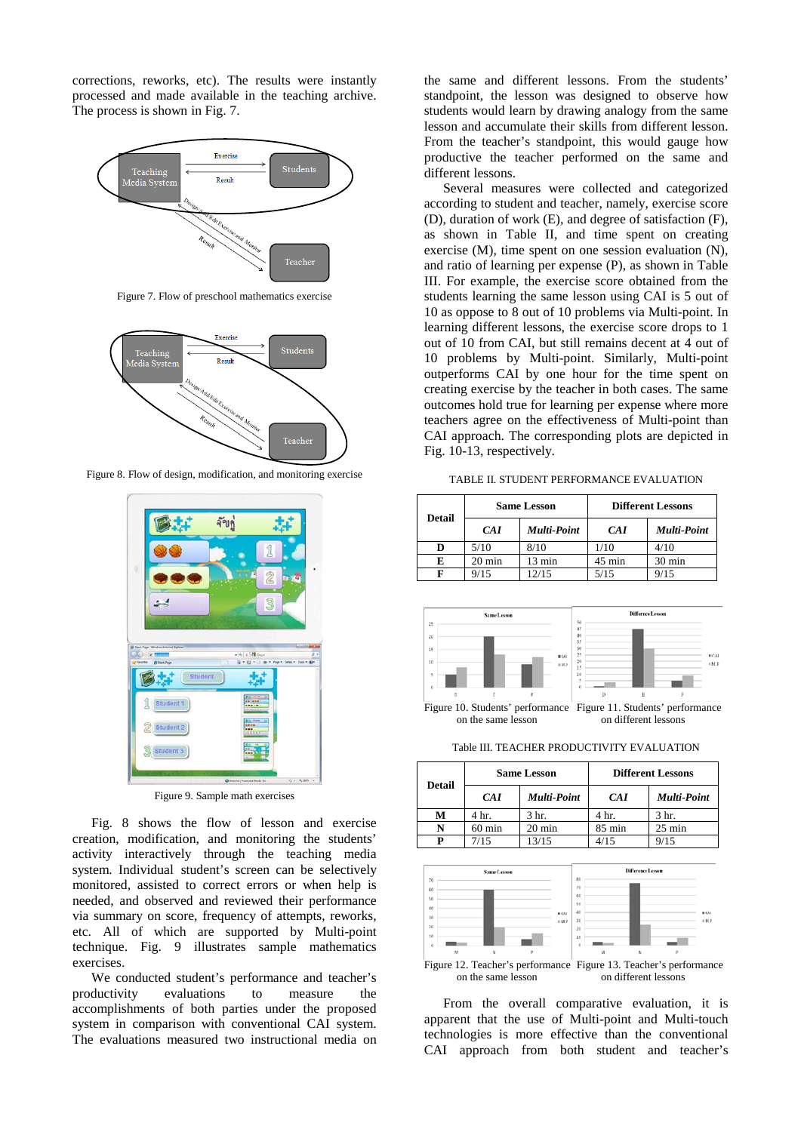corrections, reworks, etc). The results were instantly processed and made available in the teaching archive. The process is shown in Fig. 7.



Figure 7. Flow of preschool mathematics exercise



Figure 8. Flow of design, modification, and monitoring exercise



Figure 9. Sample math exercises

Fig. 8 shows the flow of lesson and exercise creation, modification, and monitoring the students' activity interactively through the teaching media system. Individual student's screen can be selectively monitored, assisted to correct errors or when help is needed, and observed and reviewed their performance via summary on score, frequency of attempts, reworks, etc. All of which are supported by Multi-point technique. Fig. 9 illustrates sample mathematics exercises.

We conducted student's performance and teacher's productivity evaluations to measure the accomplishments of both parties under the proposed system in comparison with conventional CAI system. The evaluations measured two instructional media on

the same and different lessons. From the students' standpoint, the lesson was designed to observe how students would learn by drawing analogy from the same lesson and accumulate their skills from different lesson. From the teacher's standpoint, this would gauge how productive the teacher performed on the same and different lessons.

Several measures were collected and categorized according to student and teacher, namely, exercise score (D), duration of work (E), and degree of satisfaction (F), as shown in Table II, and time spent on creating exercise (M), time spent on one session evaluation (N), and ratio of learning per expense (P), as shown in Table III. For example, the exercise score obtained from the students learning the same lesson using CAI is 5 out of 10 as oppose to 8 out of 10 problems via Multi-point. In learning different lessons, the exercise score drops to 1 out of 10 from CAI, but still remains decent at 4 out of 10 problems by Multi-point. Similarly, Multi-point outperforms CAI by one hour for the time spent on creating exercise by the teacher in both cases. The same outcomes hold true for learning per expense where more teachers agree on the effectiveness of Multi-point than CAI approach. The corresponding plots are depicted in Fig. 10-13, respectively.

TABLE II. STUDENT PERFORMANCE EVALUATION

| <b>Detail</b> | <b>Same Lesson</b> |                  | <b>Different Lessons</b> |                    |
|---------------|--------------------|------------------|--------------------------|--------------------|
|               | CAI                | Multi-Point      | CAI                      | <b>Multi-Point</b> |
| D             | 5/10               | 8/10             | 1/10                     | 4/10               |
| E             | $20 \text{ min}$   | $13 \text{ min}$ | $45 \text{ min}$         | $30 \text{ min}$   |
|               | 9/15               | 12/15            | 5/15                     | 9/15               |



Table III. TEACHER PRODUCTIVITY EVALUATION

| <b>Detail</b> | <b>Same Lesson</b> |                    | <b>Different Lessons</b> |                    |
|---------------|--------------------|--------------------|--------------------------|--------------------|
|               | <b>CAI</b>         | <b>Multi-Point</b> | CAI                      | <b>Multi-Point</b> |
| М             | 4 hr.              | 3 hr.              | 4 hr.                    | 3 hr.              |
|               | $60 \text{ min}$   | $20 \text{ min}$   | $85 \text{ min}$         | $25 \text{ min}$   |
|               | 7/15               | 13/15              | 4/15                     | 9/15               |



From the overall comparative evaluation, it is apparent that the use of Multi-point and Multi-touch technologies is more effective than the conventional CAI approach from both student and teacher's